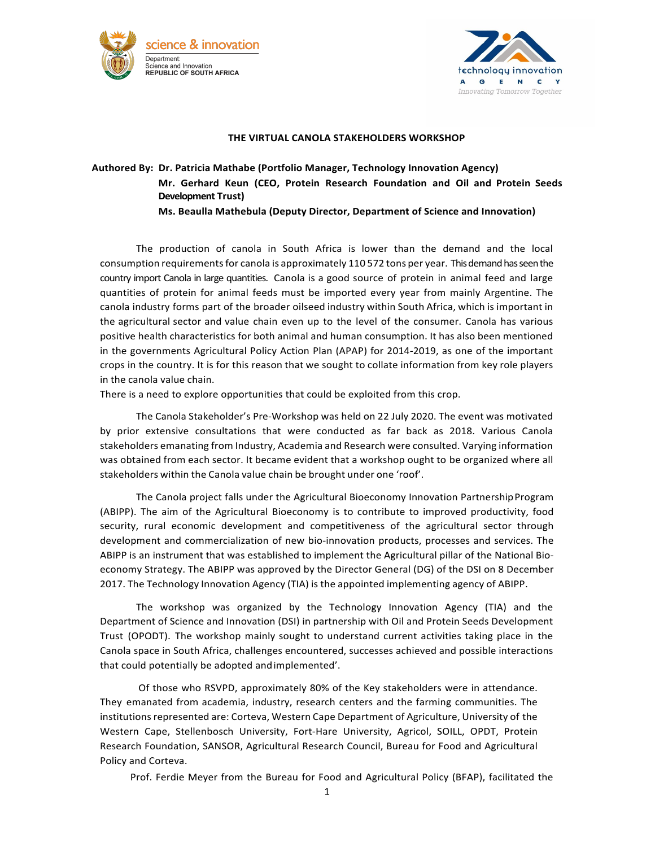



## **THE VIRTUAL CANOLA STAKEHOLDERS WORKSHOP**

## **Authored By: Dr. Patricia Mathabe (Portfolio Manager, Technology Innovation Agency) Mr. Gerhard Keun (CEO, Protein Research Foundation and Oil and Protein Seeds Development Trust)**

**Ms. Beaulla Mathebula (Deputy Director, Department of Science and Innovation)** 

The production of canola in South Africa is lower than the demand and the local consumption requirements for canola is approximately 110 572 tons per year. This demand has seen the country import Canola in large quantities. Canola is a good source of protein in animal feed and large quantities of protein for animal feeds must be imported every year from mainly Argentine. The canola industry forms part of the broader oilseed industry within South Africa, which is important in the agricultural sector and value chain even up to the level of the consumer. Canola has various positive health characteristics for both animal and human consumption. It has also been mentioned in the governments Agricultural Policy Action Plan (APAP) for 2014-2019, as one of the important crops in the country. It is for this reason that we sought to collate information from key role players in the canola value chain.

There is a need to explore opportunities that could be exploited from this crop.

The Canola Stakeholder's Pre-Workshop was held on 22 July 2020. The event was motivated by prior extensive consultations that were conducted as far back as 2018. Various Canola stakeholders emanating from Industry, Academia and Research were consulted. Varying information was obtained from each sector. It became evident that a workshop ought to be organized where all stakeholders within the Canola value chain be brought under one 'roof'.

The Canola project falls under the Agricultural Bioeconomy Innovation Partnership Program (ABIPP). The aim of the Agricultural Bioeconomy is to contribute to improved productivity, food security, rural economic development and competitiveness of the agricultural sector through development and commercialization of new bio-innovation products, processes and services. The ABIPP is an instrument that was established to implement the Agricultural pillar of the National Bioeconomy Strategy. The ABIPP was approved by the Director General (DG) of the DSI on 8 December 2017. The Technology Innovation Agency (TIA) is the appointed implementing agency of ABIPP.

The workshop was organized by the Technology Innovation Agency (TIA) and the Department of Science and Innovation (DSI) in partnership with Oil and Protein Seeds Development Trust (OPODT). The workshop mainly sought to understand current activities taking place in the Canola space in South Africa, challenges encountered, successes achieved and possible interactions that could potentially be adopted and implemented'.

Of those who RSVPD, approximately 80% of the Key stakeholders were in attendance. They emanated from academia, industry, research centers and the farming communities. The institutions represented are: Corteva, Western Cape Department of Agriculture, University of the Western Cape, Stellenbosch University, Fort-Hare University, Agricol, SOILL, OPDT, Protein Research Foundation, SANSOR, Agricultural Research Council, Bureau for Food and Agricultural Policy and Corteva.

Prof. Ferdie Meyer from the Bureau for Food and Agricultural Policy (BFAP), facilitated the